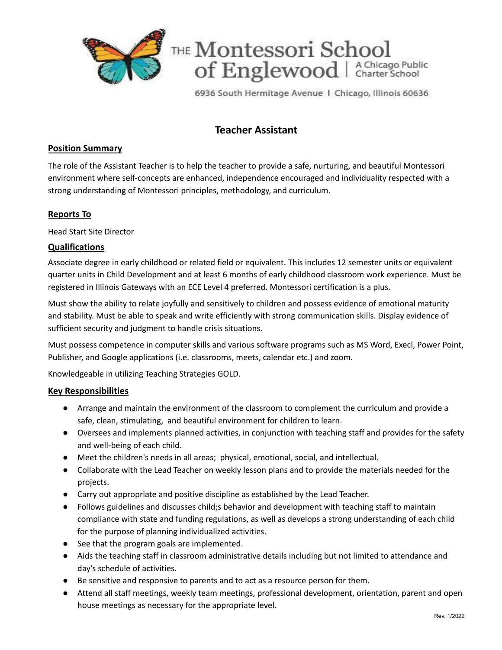

6936 South Hermitage Avenue 1 Chicago, Illinois 60636

# **Teacher Assistant**

## **Position Summary**

The role of the Assistant Teacher is to help the teacher to provide a safe, nurturing, and beautiful Montessori environment where self-concepts are enhanced, independence encouraged and individuality respected with a strong understanding of Montessori principles, methodology, and curriculum.

## **Reports To**

Head Start Site Director

### **Qualifications**

Associate degree in early childhood or related field or equivalent. This includes 12 semester units or equivalent quarter units in Child Development and at least 6 months of early childhood classroom work experience. Must be registered in Illinois Gateways with an ECE Level 4 preferred. Montessori certification is a plus.

Must show the ability to relate joyfully and sensitively to children and possess evidence of emotional maturity and stability. Must be able to speak and write efficiently with strong communication skills. Display evidence of sufficient security and judgment to handle crisis situations.

Must possess competence in computer skills and various software programs such as MS Word, Execl, Power Point, Publisher, and Google applications (i.e. classrooms, meets, calendar etc.) and zoom.

Knowledgeable in utilizing Teaching Strategies GOLD.

#### **Key Responsibilities**

- Arrange and maintain the environment of the classroom to complement the curriculum and provide a safe, clean, stimulating, and beautiful environment for children to learn.
- Oversees and implements planned activities, in conjunction with teaching staff and provides for the safety and well-being of each child.
- Meet the children's needs in all areas; physical, emotional, social, and intellectual.
- Collaborate with the Lead Teacher on weekly lesson plans and to provide the materials needed for the projects.
- Carry out appropriate and positive discipline as established by the Lead Teacher.
- Follows guidelines and discusses child;s behavior and development with teaching staff to maintain compliance with state and funding regulations, as well as develops a strong understanding of each child for the purpose of planning individualized activities.
- See that the program goals are implemented.
- Aids the teaching staff in classroom administrative details including but not limited to attendance and day's schedule of activities.
- Be sensitive and responsive to parents and to act as a resource person for them.
- Attend all staff meetings, weekly team meetings, professional development, orientation, parent and open house meetings as necessary for the appropriate level.